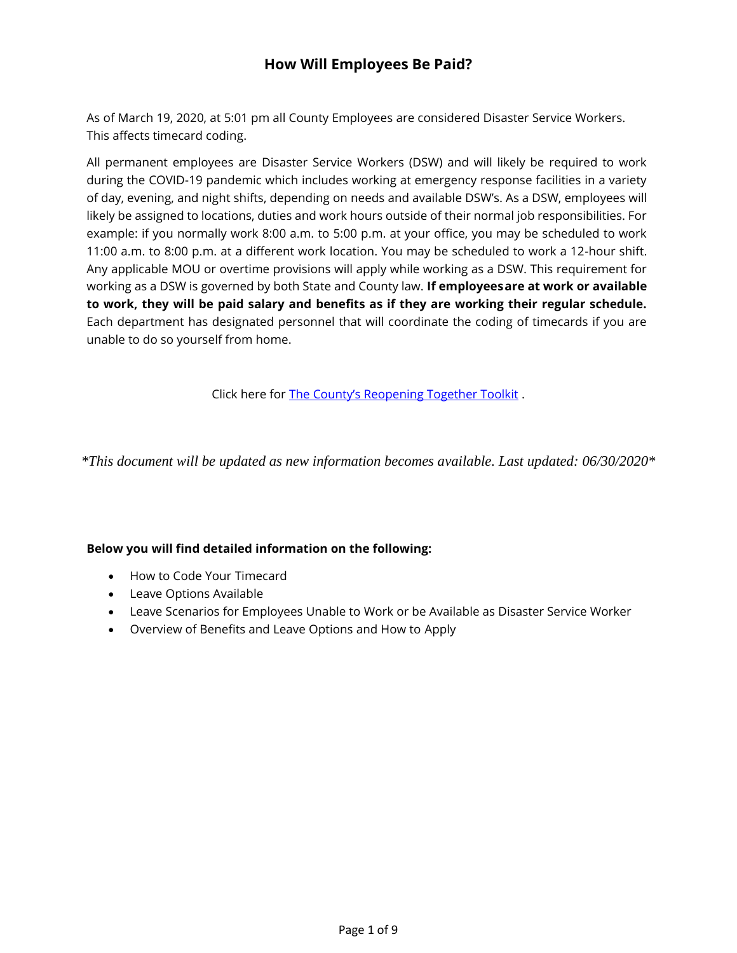# **How Will Employees Be Paid?**

As of March 19, 2020, at 5:01 pm all County Employees are considered Disaster Service Workers. This affects timecard coding.

All permanent employees are Disaster Service Workers (DSW) and will likely be required to work during the COVID-19 pandemic which includes working at emergency response facilities in a variety of day, evening, and night shifts, depending on needs and available DSW's. As a DSW, employees will likely be assigned to locations, duties and work hours outside of their normal job responsibilities. For example: if you normally work 8:00 a.m. to 5:00 p.m. at your office, you may be scheduled to work 11:00 a.m. to 8:00 p.m. at a different work location. You may be scheduled to work a 12-hour shift. Any applicable MOU or overtime provisions will apply while working as a DSW. This requirement for working as a DSW is governed by both State and County law. **If employeesare at work or available to work, they will be paid salary and benefits as if they are working their regular schedule.**  Each department has designated personnel that will coordinate the coding of timecards if you are unable to do so yourself from home.

Click here for [The County's Reopening Together Toolkit](https://www.slocounty.ca.gov/Departments/Human-Resources/Employee-COVID-19-Information.aspx) .

*\*This document will be updated as new information becomes available. Last updated: 06/30/2020\**

#### **Below you will find detailed information on the following:**

- How to Code Your Timecard
- Leave Options Available
- Leave Scenarios for Employees Unable to Work or be Available as Disaster Service Worker
- Overview of Benefits and Leave Options and How to Apply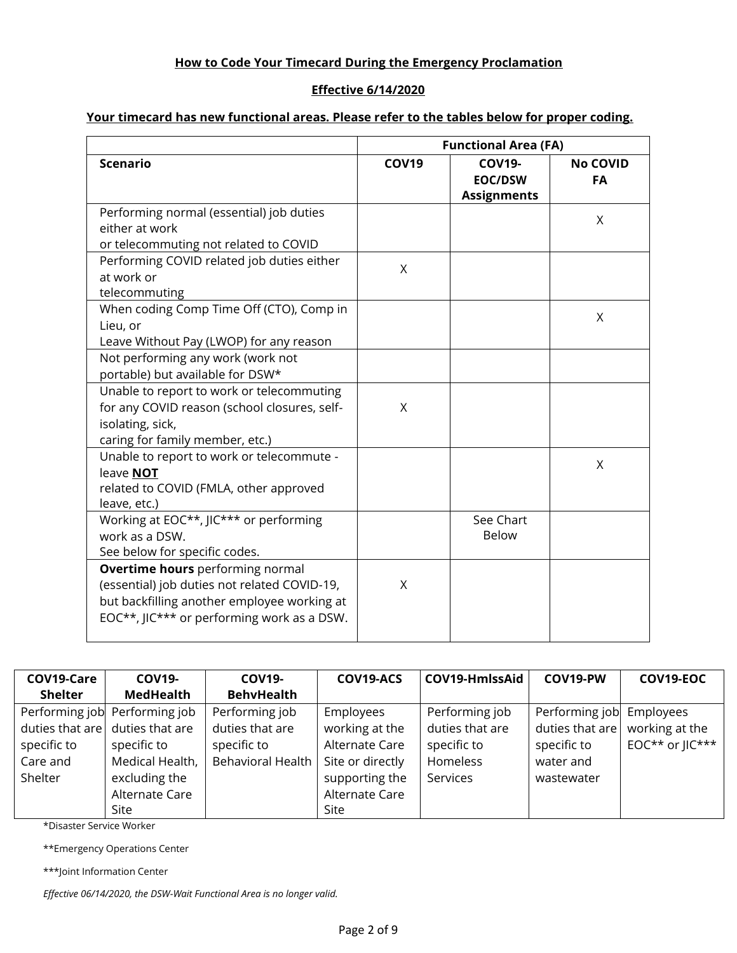## **How to Code Your Timecard During the Emergency Proclamation**

#### **Effective 6/14/2020**

## **Your timecard has new functional areas. Please refer to the tables below for proper coding.**

|                                                                                                                                                                               | <b>Functional Area (FA)</b> |                                                       |                       |  |  |
|-------------------------------------------------------------------------------------------------------------------------------------------------------------------------------|-----------------------------|-------------------------------------------------------|-----------------------|--|--|
| <b>Scenario</b>                                                                                                                                                               | <b>COV19</b>                | <b>COV19-</b><br><b>EOC/DSW</b><br><b>Assignments</b> | <b>No COVID</b><br>FA |  |  |
| Performing normal (essential) job duties<br>either at work<br>or telecommuting not related to COVID                                                                           |                             |                                                       | Χ                     |  |  |
| Performing COVID related job duties either<br>at work or<br>telecommuting                                                                                                     | X                           |                                                       |                       |  |  |
| When coding Comp Time Off (CTO), Comp in<br>Lieu, or<br>Leave Without Pay (LWOP) for any reason                                                                               |                             |                                                       | Χ                     |  |  |
| Not performing any work (work not<br>portable) but available for DSW*                                                                                                         |                             |                                                       |                       |  |  |
| Unable to report to work or telecommuting<br>for any COVID reason (school closures, self-<br>isolating, sick,<br>caring for family member, etc.)                              | X                           |                                                       |                       |  |  |
| Unable to report to work or telecommute -<br>leave NOT<br>related to COVID (FMLA, other approved<br>leave, etc.)                                                              |                             |                                                       | Χ                     |  |  |
| Working at EOC**, JIC*** or performing<br>work as a DSW.<br>See below for specific codes.                                                                                     |                             | See Chart<br><b>Below</b>                             |                       |  |  |
| Overtime hours performing normal<br>(essential) job duties not related COVID-19,<br>but backfilling another employee working at<br>EOC**, JIC*** or performing work as a DSW. | X                           |                                                       |                       |  |  |

| COV19-Care<br><b>Shelter</b>                          | <b>COV19-</b><br><b>MedHealth</b>                                                                                             | <b>COV19-</b><br><b>BehvHealth</b>                                    | COV19-ACS                                                                                                     | COV19-HmlssAid                                                           | COV19-PW                                                                    | COV19-EOC                                      |
|-------------------------------------------------------|-------------------------------------------------------------------------------------------------------------------------------|-----------------------------------------------------------------------|---------------------------------------------------------------------------------------------------------------|--------------------------------------------------------------------------|-----------------------------------------------------------------------------|------------------------------------------------|
| duties that are<br>specific to<br>Care and<br>Shelter | Performing job Performing job<br>duties that are<br>specific to<br>Medical Health,<br>excluding the<br>Alternate Care<br>Site | Performing job<br>duties that are<br>specific to<br>Behavioral Health | Employees<br>working at the<br>Alternate Care<br>Site or directly<br>supporting the<br>Alternate Care<br>Site | Performing job<br>duties that are<br>specific to<br>Homeless<br>Services | Performing job<br>duties that are<br>specific to<br>water and<br>wastewater | Employees<br>working at the<br>EOC** or JIC*** |

\*Disaster Service Worker

\*\*Emergency Operations Center

\*\*\*Joint Information Center

*Effective 06/14/2020, the DSW-Wait Functional Area is no longer valid.*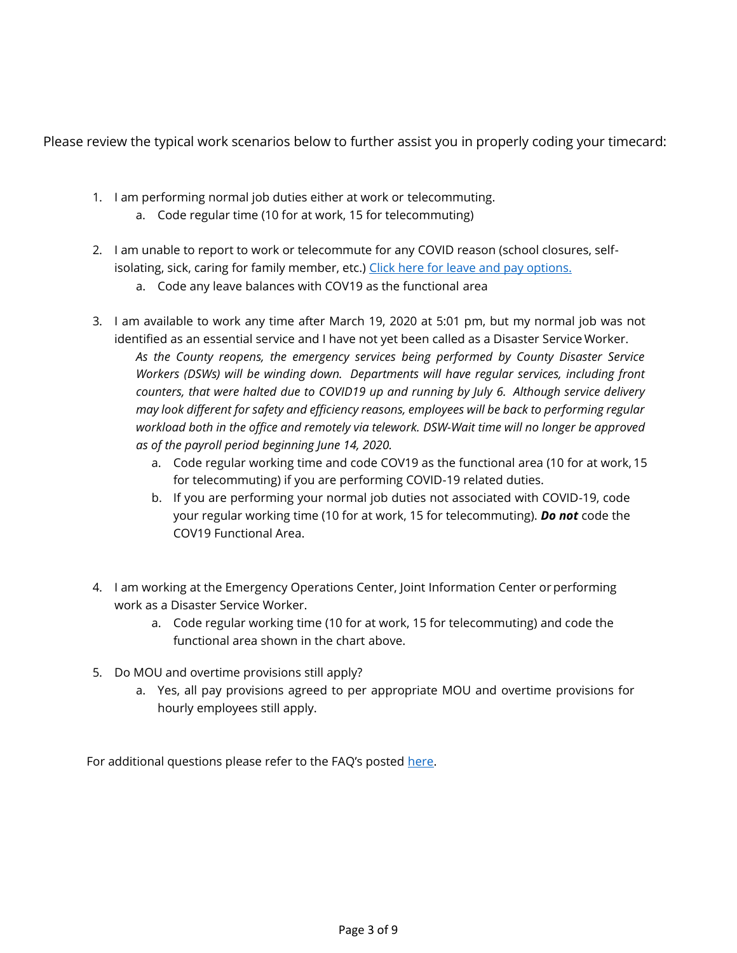Please review the typical work scenarios below to further assist you in properly coding your timecard:

- 1. I am performing normal job duties either at work or telecommuting.
	- a. Code regular time (10 for at work, 15 for telecommuting)
- 2. I am unable to report to work or telecommute for any COVID reason (school closures, self-isolating, sick, caring for family member, etc.) [Click here for leave and pay](#page-3-0) options.
	- a. Code any leave balances with COV19 as the functional area
- 3. I am available to work any time after March 19, 2020 at 5:01 pm, but my normal job was not identified as an essential service and I have not yet been called as a Disaster Service Worker. *As the County reopens, the emergency services being performed by County Disaster Service Workers (DSWs) will be winding down. Departments will have regular services, including front counters, that were halted due to COVID19 up and running by July 6. Although service delivery may look different for safety and efficiency reasons, employees will be back to performing regular workload both in the office and remotely via telework. DSW-Wait time will no longer be approved as of the payroll period beginning June 14, 2020.*
	- a. Code regular working time and code COV19 as the functional area (10 for at work, 15 for telecommuting) if you are performing COVID-19 related duties.
	- b. If you are performing your normal job duties not associated with COVID-19, code your regular working time (10 for at work, 15 for telecommuting). *Do not* code the COV19 Functional Area.
- 4. I am working at the Emergency Operations Center, Joint Information Center or performing work as a Disaster Service Worker.
	- a. Code regular working time (10 for at work, 15 for telecommuting) and code the functional area shown in the chart above.
- 5. Do MOU and overtime provisions still apply?
	- a. Yes, all pay provisions agreed to per appropriate MOU and overtime provisions for hourly employees still apply.

For additional questions please refer to the FAQ's posted [here.](https://www.slocounty.ca.gov/Departments/Human-Resources/Employee-COVID-19-Information.aspx)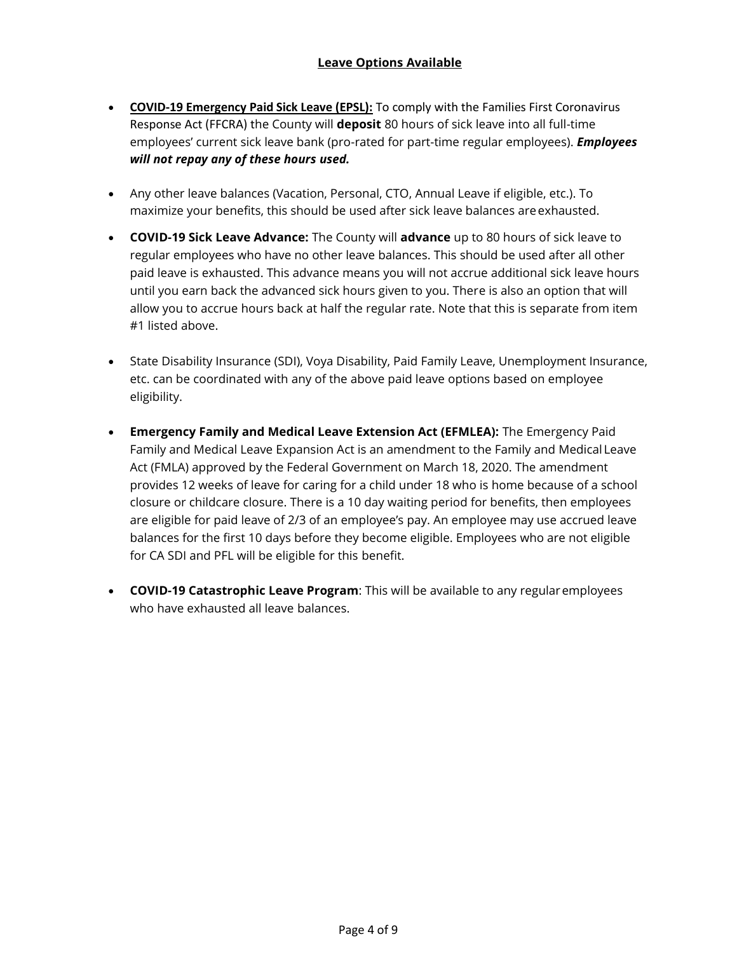## **Leave Options Available**

- <span id="page-3-0"></span>• **COVID-19 Emergency Paid Sick Leave (EPSL):** To comply with the Families First Coronavirus Response Act (FFCRA) the County will **deposit** 80 hours of sick leave into all full-time employees' current sick leave bank (pro-rated for part-time regular employees). *Employees will not repay any of these hours used.*
- Any other leave balances (Vacation, Personal, CTO, Annual Leave if eligible, etc.). To maximize your benefits, this should be used after sick leave balances areexhausted.
- **COVID-19 Sick Leave Advance:** The County will **advance** up to 80 hours of sick leave to regular employees who have no other leave balances. This should be used after all other paid leave is exhausted. This advance means you will not accrue additional sick leave hours until you earn back the advanced sick hours given to you. There is also an option that will allow you to accrue hours back at half the regular rate. Note that this is separate from item #1 listed above.
- State Disability Insurance (SDI), Voya Disability, Paid Family Leave, Unemployment Insurance, etc. can be coordinated with any of the above paid leave options based on employee eligibility.
- **Emergency Family and Medical Leave Extension Act (EFMLEA):** The Emergency Paid Family and Medical Leave Expansion Act is an amendment to the Family and Medical Leave Act (FMLA) approved by the Federal Government on March 18, 2020. The amendment provides 12 weeks of leave for caring for a child under 18 who is home because of a school closure or childcare closure. There is a 10 day waiting period for benefits, then employees are eligible for paid leave of 2/3 of an employee's pay. An employee may use accrued leave balances for the first 10 days before they become eligible. Employees who are not eligible for CA SDI and PFL will be eligible for this benefit.
- **COVID-19 Catastrophic Leave Program**: This will be available to any regularemployees who have exhausted all leave balances.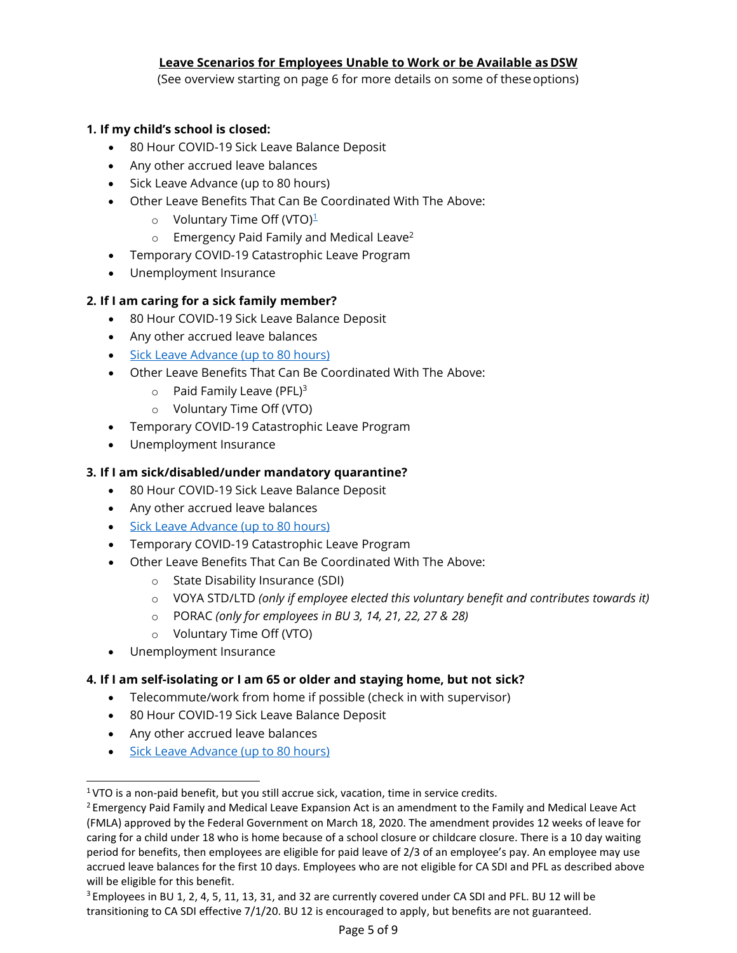## **Leave Scenarios for Employees Unable to Work or be Available as DSW**

(See overview starting on page 6 for more details on some of theseoptions)

### **1. If my child's school is closed:**

- 80 Hour COVID-19 Sick Leave Balance Deposit
- Any other accrued leave balances
- Sick Leave Advance (up to 80 hours)
- Other Leave Benefits That Can Be Coordinated With The Above:
	- $\circ$  Voluntary Time Off (VTO)<sup>[1](#page-4-0)</sup>
	- $\circ$  Emergency Paid Family and Medical Leave<sup>[2](#page-4-1)</sup>
- Temporary COVID-19 Catastrophic Leave Program
- Unemployment Insurance

## **2. If I am caring for a sick family member?**

- 80 Hour COVID-19 Sick Leave Balance Deposit
- Any other accrued leave balances
- [Sick Leave Advance \(up to 80](https://www.slocounty.ca.gov/Departments/Human-Resources/Employee-COVID-19-Information.aspx) hours)
- Other Leave Benefits That Can Be Coordinated With The Above:
	- $\circ$  Paid Family Leave (PFL[\)](#page-4-2)<sup>3</sup>
	- o Voluntary Time Off (VTO)
- Temporary COVID-19 Catastrophic Leave Program
- Unemployment Insurance

## **3. If I am sick/disabled/under mandatory quarantine?**

- 80 Hour COVID-19 Sick Leave Balance Deposit
- Any other accrued leave balances
- [Sick Leave Advance \(up to 80](https://www.slocounty.ca.gov/Departments/Human-Resources/Employee-COVID-19-Information.aspx) hours)
- Temporary COVID-19 Catastrophic Leave Program
- Other Leave Benefits That Can Be Coordinated With The Above:
	- o State Disability Insurance (SDI)
	- o VOYA STD/LTD *(only if employee elected this voluntary benefit and contributes towards it)*
	- o PORAC *(only for employees in BU 3, 14, 21, 22, 27 & 28)*
	- o Voluntary Time Off (VTO)
- Unemployment Insurance

#### **4. If I am self-isolating or I am 65 or older and staying home, but not sick?**

- Telecommute/work from home if possible (check in with supervisor)
- 80 Hour COVID-19 Sick Leave Balance Deposit
- Any other accrued leave balances
- [Sick Leave Advance \(up to 80](https://www.slocounty.ca.gov/Departments/Human-Resources/Employee-COVID-19-Information.aspx) hours)

<span id="page-4-0"></span><sup>&</sup>lt;sup>1</sup>VTO is a non-paid benefit, but you still accrue sick, vacation, time in service credits.

<span id="page-4-1"></span><sup>&</sup>lt;sup>2</sup> Emergency Paid Family and Medical Leave Expansion Act is an amendment to the Family and Medical Leave Act (FMLA) approved by the Federal Government on March 18, 2020. The amendment provides 12 weeks of leave for caring for a child under 18 who is home because of a school closure or childcare closure. There is a 10 day waiting period for benefits, then employees are eligible for paid leave of 2/3 of an employee's pay. An employee may use accrued leave balances for the first 10 days. Employees who are not eligible for CA SDI and PFL as described above will be eligible for this benefit.

<span id="page-4-2"></span><sup>&</sup>lt;sup>3</sup> Employees in BU 1, 2, 4, 5, 11, 13, 31, and 32 are currently covered under CA SDI and PFL. BU 12 will be transitioning to CA SDI effective 7/1/20. BU 12 is encouraged to apply, but benefits are not guaranteed.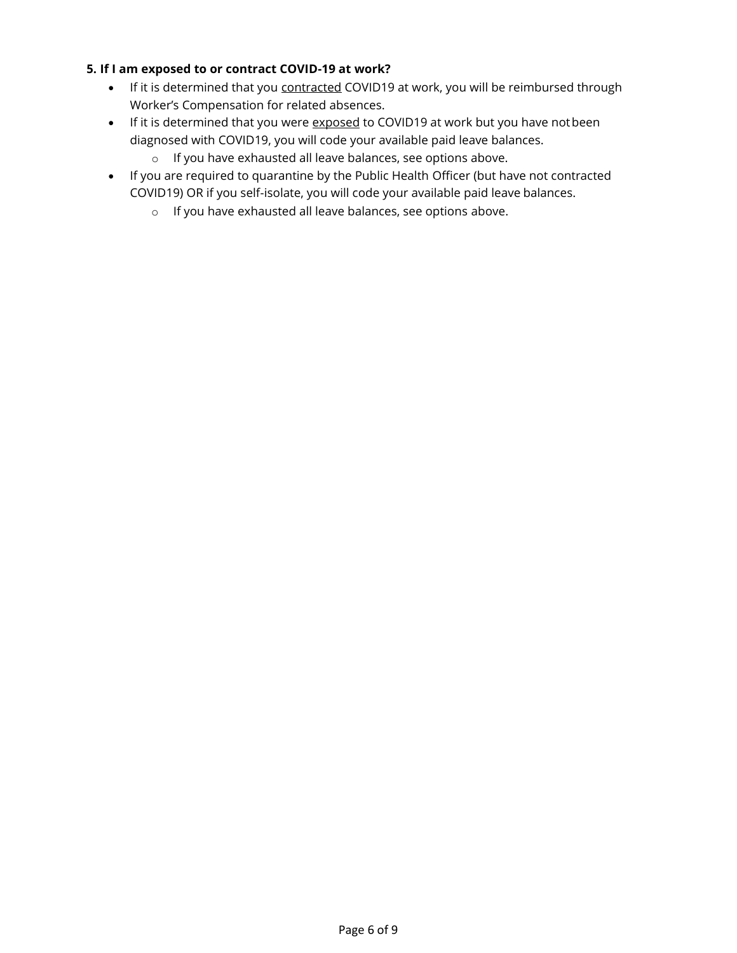## **5. If I am exposed to or contract COVID-19 at work?**

- If it is determined that you contracted COVID19 at work, you will be reimbursed through Worker's Compensation for related absences.
- If it is determined that you were exposed to COVID19 at work but you have not been diagnosed with COVID19, you will code your available paid leave balances.
	- o If you have exhausted all leave balances, see options above.
- If you are required to quarantine by the Public Health Officer (but have not contracted COVID19) OR if you self-isolate, you will code your available paid leave balances.
	- o If you have exhausted all leave balances, see options above.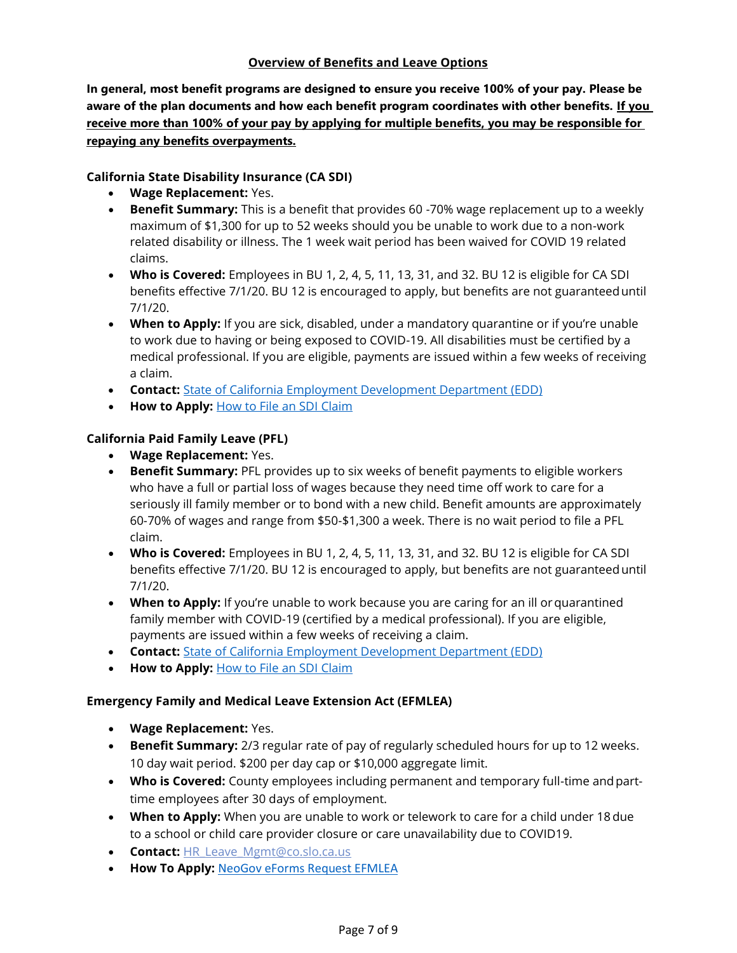## **Overview of Benefits and Leave Options**

**In general, most benefit programs are designed to ensure you receive 100% of your pay. Please be aware of the plan documents and how each benefit program coordinates with other benefits. If you receive more than 100% of your pay by applying for multiple benefits, you may be responsible for repaying any benefits overpayments.**

#### **California State Disability Insurance (CA SDI)**

- **Wage Replacement:** Yes.
- **Benefit Summary:** This is a benefit that provides 60 -70% wage replacement up to a weekly maximum of \$1,300 for up to 52 weeks should you be unable to work due to a non-work related disability or illness. The 1 week wait period has been waived for COVID 19 related claims.
- **Who is Covered:** Employees in BU 1, 2, 4, 5, 11, 13, 31, and 32. BU 12 is eligible for CA SDI benefits effective 7/1/20. BU 12 is encouraged to apply, but benefits are not guaranteeduntil 7/1/20.
- **When to Apply:** If you are sick, disabled, under a mandatory quarantine or if you're unable to work due to having or being exposed to COVID-19. All disabilities must be certified by a medical professional. If you are eligible, payments are issued within a few weeks of receiving a claim.
- **Contact:** [State of California Employment Development Department](https://gcc01.safelinks.protection.outlook.com/?url=https%3A%2F%2Fedd.ca.gov%2FDisability%2FHow_to_File_a_DI_Claim_in_SDI_Online.htm&data=02%7C01%7Cnfixler%40co.slo.ca.us%7C1bf97a09b21c4b1e9f6a08d7caf7a57c%7C84c3c7747fdf40e2a59027b2e70f8126%7C0%7C0%7C637201037297567668&sdata=Gvg68vbdQN%2B9bUVepf7U68oQJlpSIlvFegV%2BZDS9UuM%3D&reserved=0) (EDD)
- **How to Apply:** [How to File an SDI](https://gcc01.safelinks.protection.outlook.com/?url=https%3A%2F%2Fedd.ca.gov%2FDisability%2FHow_to_File_a_DI_Claim_in_SDI_Online.htm&data=02%7C01%7Cnfixler%40co.slo.ca.us%7C1bf97a09b21c4b1e9f6a08d7caf7a57c%7C84c3c7747fdf40e2a59027b2e70f8126%7C0%7C0%7C637201037297567668&sdata=Gvg68vbdQN%2B9bUVepf7U68oQJlpSIlvFegV%2BZDS9UuM%3D&reserved=0) Claim

#### **California Paid Family Leave (PFL)**

- **Wage Replacement:** Yes.
- **Benefit Summary:** PFL provides up to six weeks of benefit payments to eligible workers who have a full or partial loss of wages because they need time off work to care for a seriously ill family member or to bond with a new child. Benefit amounts are approximately 60-70% of wages and range from \$50-\$1,300 a week. There is no wait period to file a PFL claim.
- **Who is Covered:** Employees in BU 1, 2, 4, 5, 11, 13, 31, and 32. BU 12 is eligible for CA SDI benefits effective 7/1/20. BU 12 is encouraged to apply, but benefits are not guaranteeduntil 7/1/20.
- **When to Apply:** If you're unable to work because you are caring for an ill or quarantined family member with COVID-19 (certified by a medical professional). If you are eligible, payments are issued within a few weeks of receiving a claim.
- **Contact:** [State of California Employment Development Department](https://gcc01.safelinks.protection.outlook.com/?url=https%3A%2F%2Fedd.ca.gov%2FDisability%2FHow_to_File_a_DI_Claim_in_SDI_Online.htm&data=02%7C01%7Cnfixler%40co.slo.ca.us%7C1bf97a09b21c4b1e9f6a08d7caf7a57c%7C84c3c7747fdf40e2a59027b2e70f8126%7C0%7C0%7C637201037297567668&sdata=Gvg68vbdQN%2B9bUVepf7U68oQJlpSIlvFegV%2BZDS9UuM%3D&reserved=0) (EDD)
- **How to Apply: [How to File an SDI](https://gcc01.safelinks.protection.outlook.com/?url=https%3A%2F%2Fedd.ca.gov%2FDisability%2FHow_to_File_a_DI_Claim_in_SDI_Online.htm&data=02%7C01%7Cnfixler%40co.slo.ca.us%7C1bf97a09b21c4b1e9f6a08d7caf7a57c%7C84c3c7747fdf40e2a59027b2e70f8126%7C0%7C0%7C637201037297567668&sdata=Gvg68vbdQN%2B9bUVepf7U68oQJlpSIlvFegV%2BZDS9UuM%3D&reserved=0) Claim**

#### **Emergency Family and Medical Leave Extension Act (EFMLEA)**

- **Wage Replacement:** Yes.
- **Benefit Summary:** 2/3 regular rate of pay of regularly scheduled hours for up to 12 weeks. 10 day wait period. \$200 per day cap or \$10,000 aggregate limit.
- **Who is Covered:** County employees including permanent and temporary full-time andparttime employees after 30 days of employment.
- **When to Apply:** When you are unable to work or telework to care for a child under 18due to a school or child care provider closure or care unavailability due to COVID19.
- **Contact:** [HR\\_Leave\\_Mgmt@co.slo.ca.us](mailto:HR_Leave_Mgmt@co.slo.ca.us)
- **How To Apply:** [NeoGov eForms Request](https://login.neogov.com/signin?sitecode=ef) EFMLEA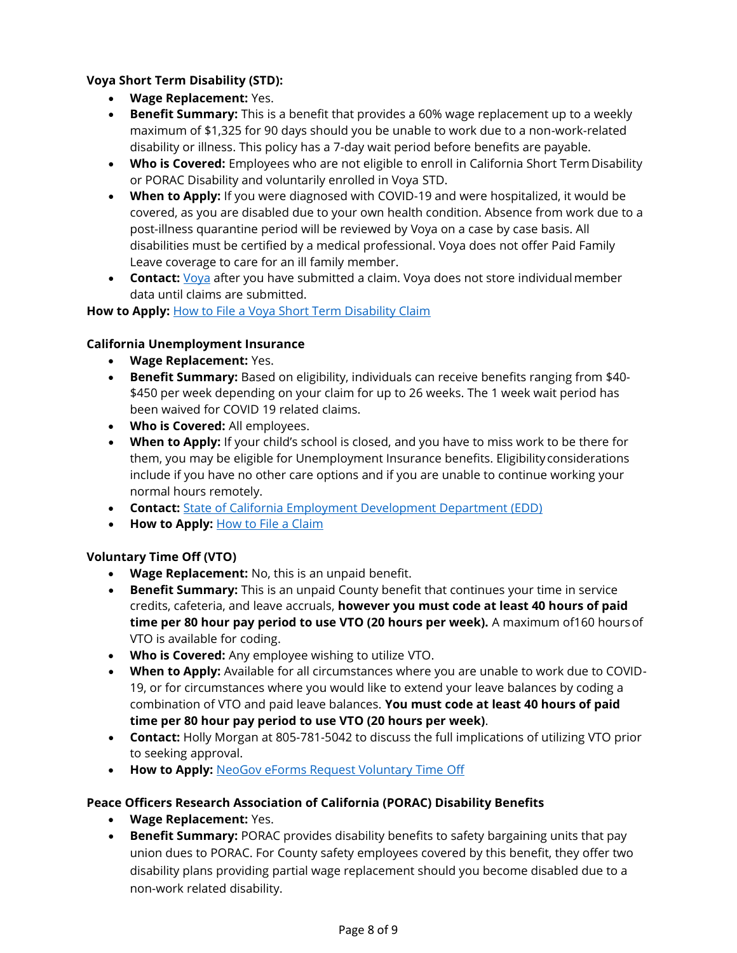### **Voya Short Term Disability (STD):**

- **Wage Replacement:** Yes.
- **Benefit Summary:** This is a benefit that provides a 60% wage replacement up to a weekly maximum of \$1,325 for 90 days should you be unable to work due to a non-work-related disability or illness. This policy has a 7-day wait period before benefits are payable.
- **Who is Covered:** Employees who are not eligible to enroll in California Short Term Disability or PORAC Disability and voluntarily enrolled in Voya STD.
- **When to Apply:** If you were diagnosed with COVID-19 and were hospitalized, it would be covered, as you are disabled due to your own health condition. Absence from work due to a post-illness quarantine period will be reviewed by Voya on a case by case basis. All disabilities must be certified by a medical professional. Voya does not offer Paid Family Leave coverage to care for an ill family member.
- **Contact:** [Voya](https://gcc01.safelinks.protection.outlook.com/?url=https%3A%2F%2Fclaimscenter.voya.com%2Fstatic%2Fclaimscenter%2Fcontact%2F&data=02%7C01%7Caszkubiel%40co.slo.ca.us%7C80d57a32a083443f7e1f08d7cd0014fd%7C84c3c7747fdf40e2a59027b2e70f8126%7C0%7C0%7C637203272549796049&sdata=96nmShM%2FdGn8xwzDJoJpNg0uO82P%2B0kXQ82YIBP4VPk%3D&reserved=0) after you have submitted a claim. Voya does not store individualmember data until claims are submitted.

How to Apply: **[How to File a Voya Short Term Disability Claim](https://gcc01.safelinks.protection.outlook.com/?url=https%3A%2F%2Fclaimscenter.voya.com%2Fstatic%2Fclaimscenter%2Ffile-claim&data=02%7C01%7Caszkubiel%40co.slo.ca.us%7C80d57a32a083443f7e1f08d7cd0014fd%7C84c3c7747fdf40e2a59027b2e70f8126%7C0%7C0%7C637203272549796049&sdata=lOCOsrrQaVKBAEtpd24z1vKDZ0U4POH9P4%2ByY6C7ShM%3D&reserved=0)** 

## **California Unemployment Insurance**

- **Wage Replacement:** Yes.
- **Benefit Summary:** Based on eligibility, individuals can receive benefits ranging from \$40- \$450 per week depending on your claim for up to 26 weeks. The 1 week wait period has been waived for COVID 19 related claims.
- **Who is Covered:** All employees.
- **When to Apply:** If your child's school is closed, and you have to miss work to be there for them, you may be eligible for Unemployment Insurance benefits. Eligibility considerations include if you have no other care options and if you are unable to continue working your normal hours remotely.
- **Contact:** [State of California Employment Development Department](https://www.edd.ca.gov/Unemployment/Filing_a_Claim.htm) (EDD)
- **How to Apply:** [How to File a](https://www.edd.ca.gov/Unemployment/Filing_a_Claim.htm) Claim

## **Voluntary Time Off (VTO)**

- **Wage Replacement:** No, this is an unpaid benefit.
- **Benefit Summary:** This is an unpaid County benefit that continues your time in service credits, cafeteria, and leave accruals, **however you must code at least 40 hours of paid time per 80 hour pay period to use VTO (20 hours per week).** A maximum of160 hoursof VTO is available for coding.
- **Who is Covered:** Any employee wishing to utilize VTO.
- **When to Apply:** Available for all circumstances where you are unable to work due to COVID-19, or for circumstances where you would like to extend your leave balances by coding a combination of VTO and paid leave balances. **You must code at least 40 hours of paid time per 80 hour pay period to use VTO (20 hours per week)**.
- **Contact:** Holly Morgan at 805-781-5042 to discuss the full implications of utilizing VTO prior to seeking approval.
- **How to Apply:** [NeoGov eForms Request Voluntary Time](https://login.neogov.com/signin?sitecode=ef) Off

#### **Peace Officers Research Association of California (PORAC) Disability Benefits**

- **Wage Replacement:** Yes.
- **Benefit Summary:** PORAC provides disability benefits to safety bargaining units that pay union dues to PORAC. For County safety employees covered by this benefit, they offer two disability plans providing partial wage replacement should you become disabled due to a non-work related disability.